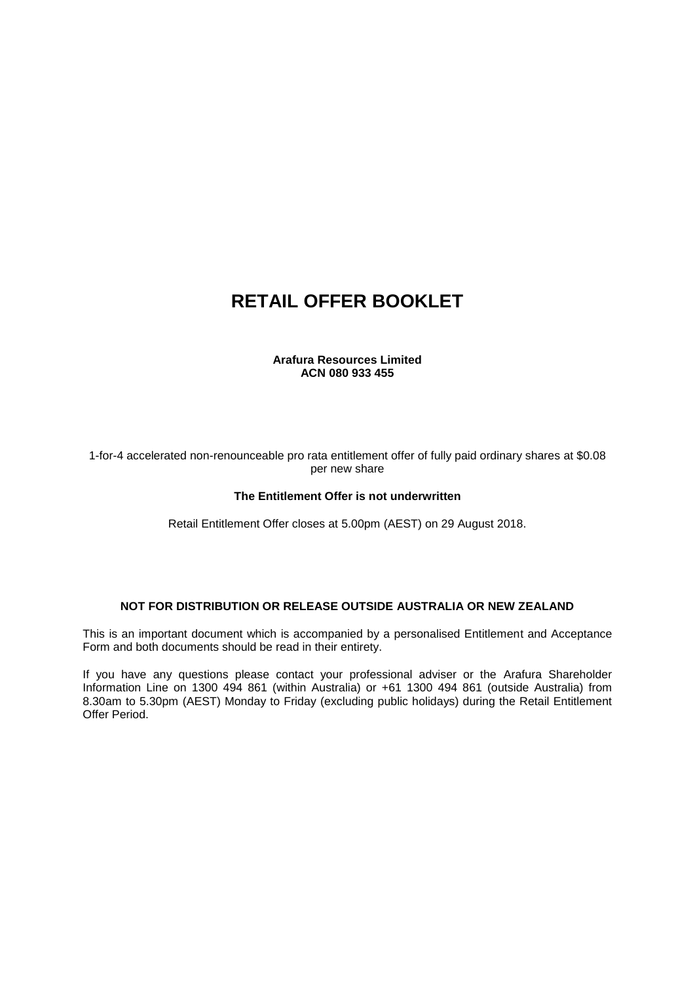# **RETAIL OFFER BOOKLET**

#### **Arafura Resources Limited ACN 080 933 455**

1-for-4 accelerated non-renounceable pro rata entitlement offer of fully paid ordinary shares at \$0.08 per new share

#### **The Entitlement Offer is not underwritten**

Retail Entitlement Offer closes at 5.00pm (AEST) on 29 August 2018.

#### **NOT FOR DISTRIBUTION OR RELEASE OUTSIDE AUSTRALIA OR NEW ZEALAND**

This is an important document which is accompanied by a personalised Entitlement and Acceptance Form and both documents should be read in their entirety.

If you have any questions please contact your professional adviser or the Arafura Shareholder Information Line on 1300 494 861 (within Australia) or +61 1300 494 861 (outside Australia) from 8.30am to 5.30pm (AEST) Monday to Friday (excluding public holidays) during the Retail Entitlement Offer Period.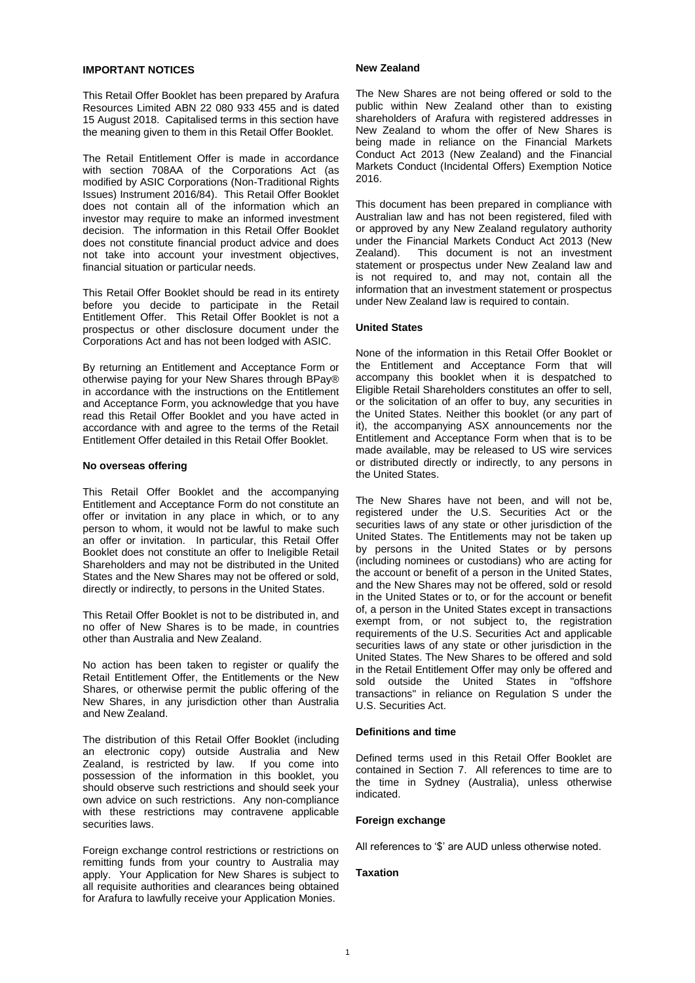#### **IMPORTANT NOTICES**

This Retail Offer Booklet has been prepared by Arafura Resources Limited ABN 22 080 933 455 and is dated 15 August 2018. Capitalised terms in this section have the meaning given to them in this Retail Offer Booklet.

The Retail Entitlement Offer is made in accordance with section 708AA of the Corporations Act (as modified by ASIC Corporations (Non-Traditional Rights Issues) Instrument 2016/84). This Retail Offer Booklet does not contain all of the information which an investor may require to make an informed investment decision. The information in this Retail Offer Booklet does not constitute financial product advice and does not take into account your investment objectives, financial situation or particular needs.

This Retail Offer Booklet should be read in its entirety before you decide to participate in the Retail Entitlement Offer. This Retail Offer Booklet is not a prospectus or other disclosure document under the Corporations Act and has not been lodged with ASIC.

By returning an Entitlement and Acceptance Form or otherwise paying for your New Shares through BPay® in accordance with the instructions on the Entitlement and Acceptance Form, you acknowledge that you have read this Retail Offer Booklet and you have acted in accordance with and agree to the terms of the Retail Entitlement Offer detailed in this Retail Offer Booklet.

#### **No overseas offering**

This Retail Offer Booklet and the accompanying Entitlement and Acceptance Form do not constitute an offer or invitation in any place in which, or to any person to whom, it would not be lawful to make such an offer or invitation. In particular, this Retail Offer Booklet does not constitute an offer to Ineligible Retail Shareholders and may not be distributed in the United States and the New Shares may not be offered or sold, directly or indirectly, to persons in the United States.

This Retail Offer Booklet is not to be distributed in, and no offer of New Shares is to be made, in countries other than Australia and New Zealand.

No action has been taken to register or qualify the Retail Entitlement Offer, the Entitlements or the New Shares, or otherwise permit the public offering of the New Shares, in any jurisdiction other than Australia and New Zealand.

The distribution of this Retail Offer Booklet (including an electronic copy) outside Australia and New Zealand, is restricted by law. If you come into possession of the information in this booklet, you should observe such restrictions and should seek your own advice on such restrictions. Any non-compliance with these restrictions may contravene applicable securities laws.

Foreign exchange control restrictions or restrictions on remitting funds from your country to Australia may apply. Your Application for New Shares is subject to all requisite authorities and clearances being obtained for Arafura to lawfully receive your Application Monies.

#### **New Zealand**

The New Shares are not being offered or sold to the public within New Zealand other than to existing shareholders of Arafura with registered addresses in New Zealand to whom the offer of New Shares is being made in reliance on the Financial Markets Conduct Act 2013 (New Zealand) and the Financial Markets Conduct (Incidental Offers) Exemption Notice 2016.

This document has been prepared in compliance with Australian law and has not been registered, filed with or approved by any New Zealand regulatory authority under the Financial Markets Conduct Act 2013 (New Zealand). This document is not an investment This document is not an investment statement or prospectus under New Zealand law and is not required to, and may not, contain all the information that an investment statement or prospectus under New Zealand law is required to contain.

#### **United States**

None of the information in this Retail Offer Booklet or the Entitlement and Acceptance Form that will accompany this booklet when it is despatched to Eligible Retail Shareholders constitutes an offer to sell, or the solicitation of an offer to buy, any securities in the United States. Neither this booklet (or any part of it), the accompanying ASX announcements nor the Entitlement and Acceptance Form when that is to be made available, may be released to US wire services or distributed directly or indirectly, to any persons in the United States.

The New Shares have not been, and will not be, registered under the U.S. Securities Act or the securities laws of any state or other jurisdiction of the United States. The Entitlements may not be taken up by persons in the United States or by persons (including nominees or custodians) who are acting for the account or benefit of a person in the United States, and the New Shares may not be offered, sold or resold in the United States or to, or for the account or benefit of, a person in the United States except in transactions exempt from, or not subject to, the registration requirements of the U.S. Securities Act and applicable securities laws of any state or other jurisdiction in the United States. The New Shares to be offered and sold in the Retail Entitlement Offer may only be offered and sold outside the United States in "offshore transactions" in reliance on Regulation S under the U.S. Securities Act.

#### **Definitions and time**

Defined terms used in this Retail Offer Booklet are contained in Section [7.](#page-20-0) All references to time are to the time in Sydney (Australia), unless otherwise indicated.

#### **Foreign exchange**

All references to '\$' are AUD unless otherwise noted.

#### **Taxation**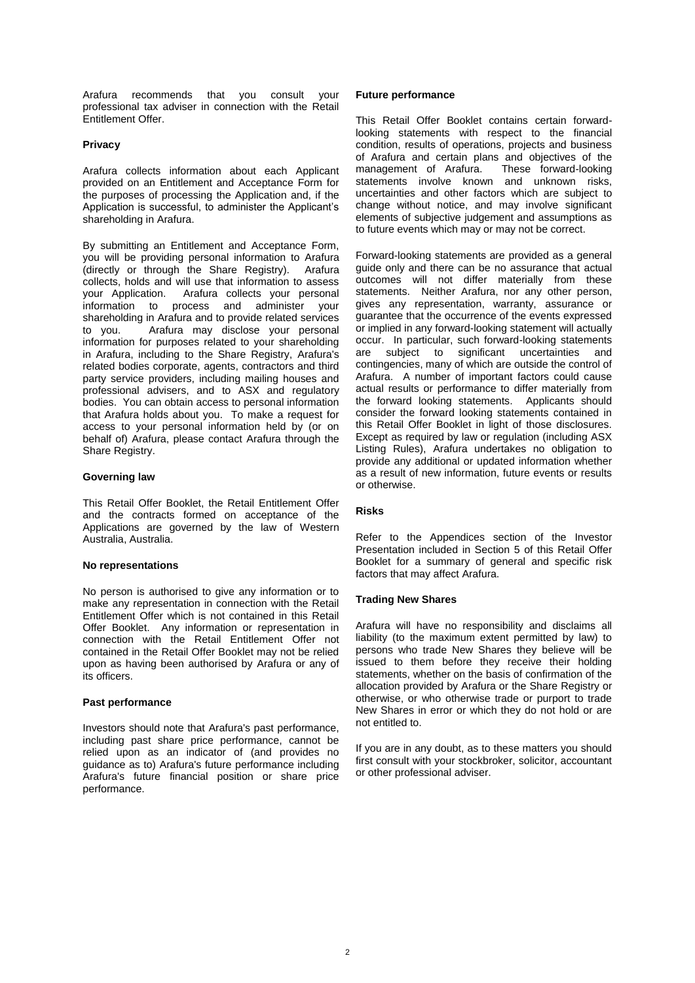Arafura recommends that you consult your professional tax adviser in connection with the Retail Entitlement Offer.

#### **Privacy**

Arafura collects information about each Applicant provided on an Entitlement and Acceptance Form for the purposes of processing the Application and, if the Application is successful, to administer the Applicant's shareholding in Arafura.

By submitting an Entitlement and Acceptance Form, you will be providing personal information to Arafura (directly or through the Share Registry). Arafura collects, holds and will use that information to assess your Application. Arafura collects your personal information to process and administer your shareholding in Arafura and to provide related services to you. Arafura may disclose your personal information for purposes related to your shareholding in Arafura, including to the Share Registry, Arafura's related bodies corporate, agents, contractors and third party service providers, including mailing houses and professional advisers, and to ASX and regulatory bodies. You can obtain access to personal information that Arafura holds about you. To make a request for access to your personal information held by (or on behalf of) Arafura, please contact Arafura through the Share Registry.

#### **Governing law**

This Retail Offer Booklet, the Retail Entitlement Offer and the contracts formed on acceptance of the Applications are governed by the law of Western Australia, Australia.

#### **No representations**

No person is authorised to give any information or to make any representation in connection with the Retail Entitlement Offer which is not contained in this Retail Offer Booklet. Any information or representation in connection with the Retail Entitlement Offer not contained in the Retail Offer Booklet may not be relied upon as having been authorised by Arafura or any of its officers.

#### **Past performance**

Investors should note that Arafura's past performance, including past share price performance, cannot be relied upon as an indicator of (and provides no guidance as to) Arafura's future performance including Arafura's future financial position or share price performance.

#### **Future performance**

This Retail Offer Booklet contains certain forwardlooking statements with respect to the financial condition, results of operations, projects and business of Arafura and certain plans and objectives of the management of Arafura. These forward-looking statements involve known and unknown risks, uncertainties and other factors which are subject to change without notice, and may involve significant elements of subjective judgement and assumptions as to future events which may or may not be correct.

Forward-looking statements are provided as a general guide only and there can be no assurance that actual outcomes will not differ materially from these statements. Neither Arafura, nor any other person, gives any representation, warranty, assurance or guarantee that the occurrence of the events expressed or implied in any forward-looking statement will actually occur. In particular, such forward-looking statements are subject to significant uncertainties and contingencies, many of which are outside the control of Arafura. A number of important factors could cause actual results or performance to differ materially from the forward looking statements. Applicants should consider the forward looking statements contained in this Retail Offer Booklet in light of those disclosures. Except as required by law or regulation (including ASX Listing Rules), Arafura undertakes no obligation to provide any additional or updated information whether as a result of new information, future events or results or otherwise.

#### **Risks**

Refer to the Appendices section of the Investor Presentation included in Section [5](#page-17-0) of this Retail Offer Booklet for a summary of general and specific risk factors that may affect Arafura.

#### **Trading New Shares**

Arafura will have no responsibility and disclaims all liability (to the maximum extent permitted by law) to persons who trade New Shares they believe will be issued to them before they receive their holding statements, whether on the basis of confirmation of the allocation provided by Arafura or the Share Registry or otherwise, or who otherwise trade or purport to trade New Shares in error or which they do not hold or are not entitled to.

If you are in any doubt, as to these matters you should first consult with your stockbroker, solicitor, accountant or other professional adviser.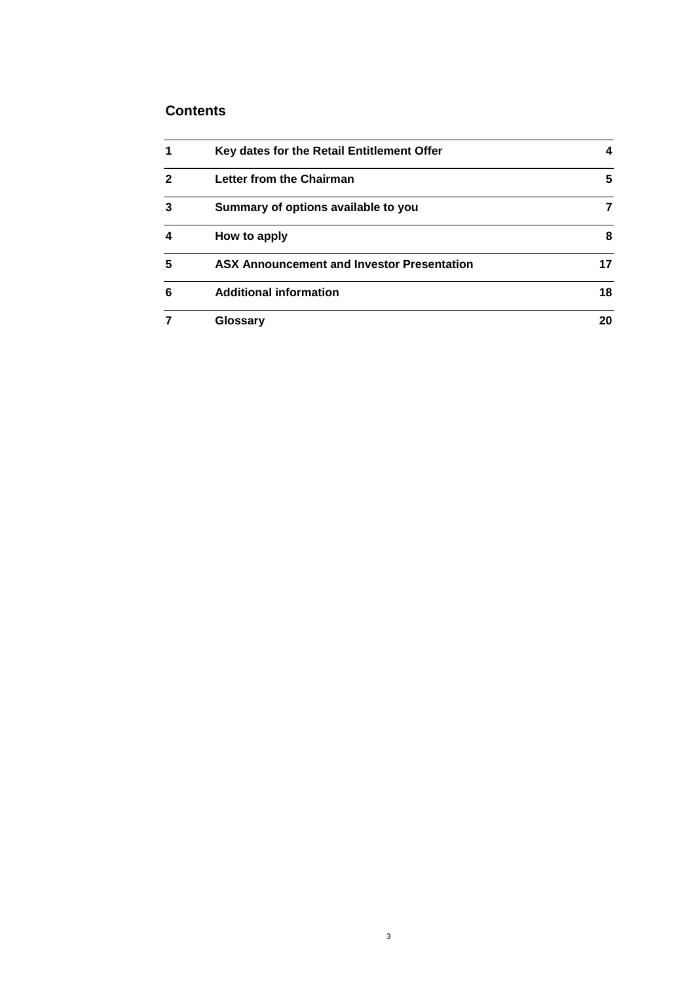## **Contents**

| 1            | Key dates for the Retail Entitlement Offer        | 4  |
|--------------|---------------------------------------------------|----|
| $\mathbf{2}$ | Letter from the Chairman                          | 5  |
| 3            | Summary of options available to you               |    |
| 4            | How to apply                                      | 8  |
| 5            | <b>ASX Announcement and Investor Presentation</b> | 17 |
| 6            | <b>Additional information</b>                     | 18 |
| 7            | Glossary                                          | 20 |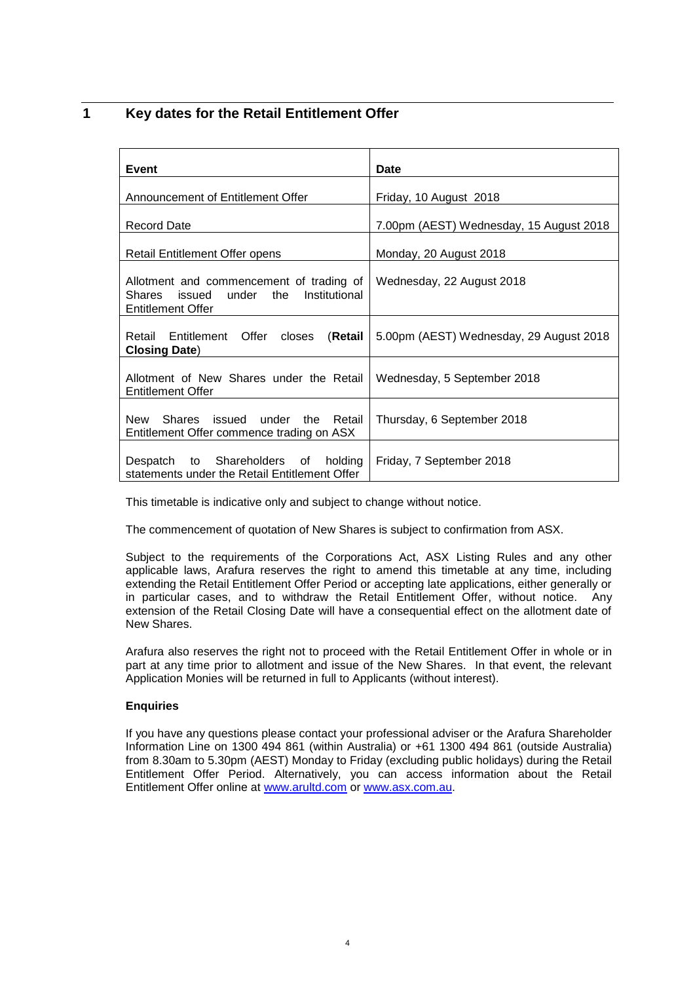## <span id="page-4-0"></span>**1 Key dates for the Retail Entitlement Offer**

| <b>Event</b>                                                                                                           | <b>Date</b>                             |
|------------------------------------------------------------------------------------------------------------------------|-----------------------------------------|
| Announcement of Entitlement Offer                                                                                      | Friday, 10 August 2018                  |
| <b>Record Date</b>                                                                                                     | 7.00pm (AEST) Wednesday, 15 August 2018 |
| Retail Entitlement Offer opens                                                                                         | Monday, 20 August 2018                  |
| Allotment and commencement of trading of<br>issued under<br>the<br>Institutional<br>Shares<br><b>Entitlement Offer</b> | Wednesday, 22 August 2018               |
| Retail Entitlement Offer<br>(Retail<br>closes<br><b>Closing Date)</b>                                                  | 5.00pm (AEST) Wednesday, 29 August 2018 |
| Allotment of New Shares under the Retail<br><b>Entitlement Offer</b>                                                   | Wednesday, 5 September 2018             |
| Shares issued under the Retail<br>New<br>Entitlement Offer commence trading on ASX                                     | Thursday, 6 September 2018              |
| to Shareholders of<br>holding<br>Despatch<br>statements under the Retail Entitlement Offer                             | Friday, 7 September 2018                |

This timetable is indicative only and subject to change without notice.

The commencement of quotation of New Shares is subject to confirmation from ASX.

Subject to the requirements of the Corporations Act, ASX Listing Rules and any other applicable laws, Arafura reserves the right to amend this timetable at any time, including extending the Retail Entitlement Offer Period or accepting late applications, either generally or in particular cases, and to withdraw the Retail Entitlement Offer, without notice. Any extension of the Retail Closing Date will have a consequential effect on the allotment date of New Shares.

Arafura also reserves the right not to proceed with the Retail Entitlement Offer in whole or in part at any time prior to allotment and issue of the New Shares. In that event, the relevant Application Monies will be returned in full to Applicants (without interest).

#### **Enquiries**

If you have any questions please contact your professional adviser or the Arafura Shareholder Information Line on 1300 494 861 (within Australia) or +61 1300 494 861 (outside Australia) from 8.30am to 5.30pm (AEST) Monday to Friday (excluding public holidays) during the Retail Entitlement Offer Period. Alternatively, you can access information about the Retail Entitlement Offer online at [www.arultd.com](http://www.arultd.com/) o[r www.asx.com.au.](http://www.asx.com.au/)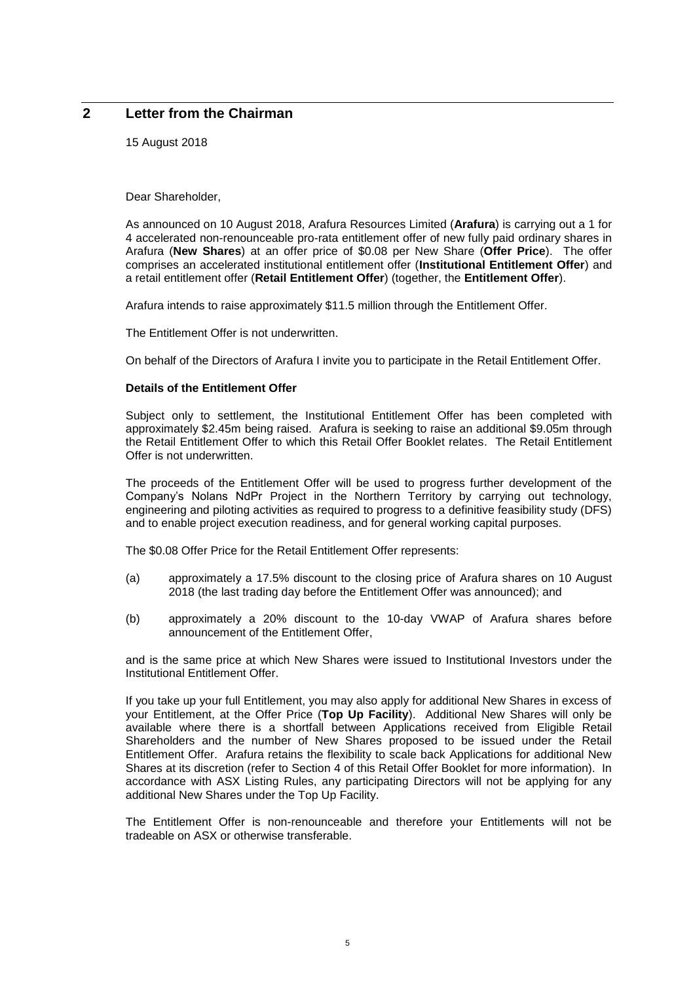## **2 Letter from the Chairman**

15 August 2018

Dear Shareholder,

As announced on 10 August 2018, Arafura Resources Limited (**Arafura**) is carrying out a 1 for 4 accelerated non-renounceable pro-rata entitlement offer of new fully paid ordinary shares in Arafura (**New Shares**) at an offer price of \$0.08 per New Share (**Offer Price**). The offer comprises an accelerated institutional entitlement offer (**Institutional Entitlement Offer**) and a retail entitlement offer (**Retail Entitlement Offer**) (together, the **Entitlement Offer**).

Arafura intends to raise approximately \$11.5 million through the Entitlement Offer.

The Entitlement Offer is not underwritten.

On behalf of the Directors of Arafura I invite you to participate in the Retail Entitlement Offer.

#### **Details of the Entitlement Offer**

Subject only to settlement, the Institutional Entitlement Offer has been completed with approximately \$2.45m being raised. Arafura is seeking to raise an additional \$9.05m through the Retail Entitlement Offer to which this Retail Offer Booklet relates. The Retail Entitlement Offer is not underwritten.

The proceeds of the Entitlement Offer will be used to progress further development of the Company's Nolans NdPr Project in the Northern Territory by carrying out technology, engineering and piloting activities as required to progress to a definitive feasibility study (DFS) and to enable project execution readiness, and for general working capital purposes.

The \$0.08 Offer Price for the Retail Entitlement Offer represents:

- (a) approximately a 17.5% discount to the closing price of Arafura shares on 10 August 2018 (the last trading day before the Entitlement Offer was announced); and
- (b) approximately a 20% discount to the 10-day VWAP of Arafura shares before announcement of the Entitlement Offer,

and is the same price at which New Shares were issued to Institutional Investors under the Institutional Entitlement Offer.

If you take up your full Entitlement, you may also apply for additional New Shares in excess of your Entitlement, at the Offer Price (**Top Up Facility**). Additional New Shares will only be available where there is a shortfall between Applications received from Eligible Retail Shareholders and the number of New Shares proposed to be issued under the Retail Entitlement Offer. Arafura retains the flexibility to scale back Applications for additional New Shares at its discretion (refer to Section [4](#page-8-0) of this Retail Offer Booklet for more information). In accordance with ASX Listing Rules, any participating Directors will not be applying for any additional New Shares under the Top Up Facility.

The Entitlement Offer is non-renounceable and therefore your Entitlements will not be tradeable on ASX or otherwise transferable.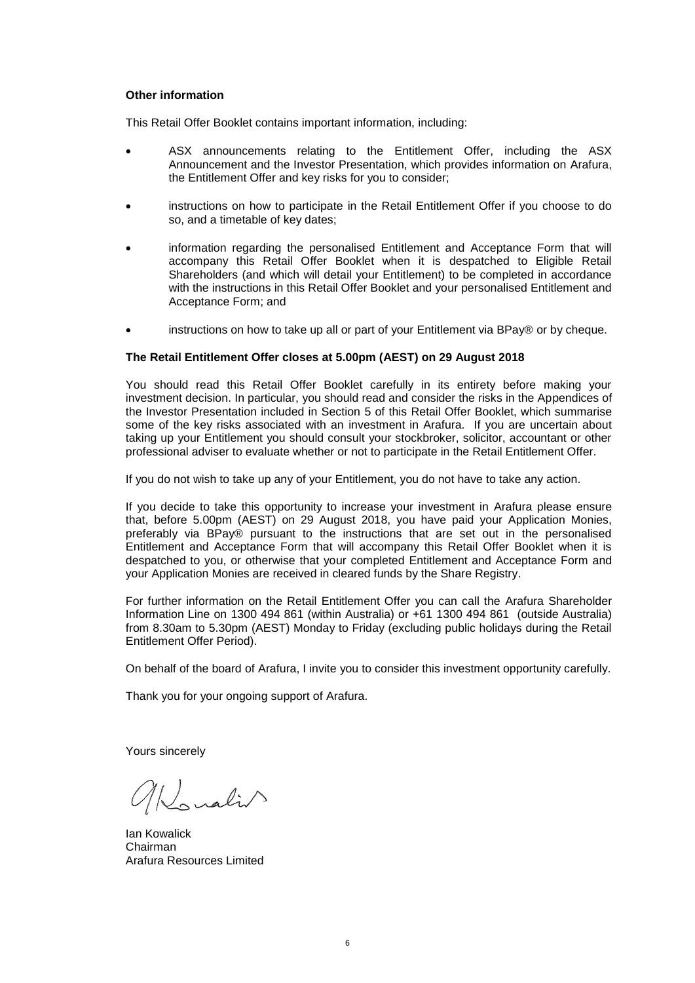#### **Other information**

This Retail Offer Booklet contains important information, including:

- ASX announcements relating to the Entitlement Offer, including the ASX Announcement and the Investor Presentation, which provides information on Arafura, the Entitlement Offer and key risks for you to consider;
- instructions on how to participate in the Retail Entitlement Offer if you choose to do so, and a timetable of key dates;
- information regarding the personalised Entitlement and Acceptance Form that will accompany this Retail Offer Booklet when it is despatched to Eligible Retail Shareholders (and which will detail your Entitlement) to be completed in accordance with the instructions in this Retail Offer Booklet and your personalised Entitlement and Acceptance Form; and
- instructions on how to take up all or part of your Entitlement via BPay® or by cheque.

#### **The Retail Entitlement Offer closes at 5.00pm (AEST) on 29 August 2018**

You should read this Retail Offer Booklet carefully in its entirety before making your investment decision. In particular, you should read and consider the risks in the Appendices of the Investor Presentation included in Section [5](#page-17-0) of this Retail Offer Booklet, which summarise some of the key risks associated with an investment in Arafura. If you are uncertain about taking up your Entitlement you should consult your stockbroker, solicitor, accountant or other professional adviser to evaluate whether or not to participate in the Retail Entitlement Offer.

If you do not wish to take up any of your Entitlement, you do not have to take any action.

If you decide to take this opportunity to increase your investment in Arafura please ensure that, before 5.00pm (AEST) on 29 August 2018, you have paid your Application Monies, preferably via BPay® pursuant to the instructions that are set out in the personalised Entitlement and Acceptance Form that will accompany this Retail Offer Booklet when it is despatched to you, or otherwise that your completed Entitlement and Acceptance Form and your Application Monies are received in cleared funds by the Share Registry.

For further information on the Retail Entitlement Offer you can call the Arafura Shareholder Information Line on 1300 494 861 (within Australia) or +61 1300 494 861 (outside Australia) from 8.30am to 5.30pm (AEST) Monday to Friday (excluding public holidays during the Retail Entitlement Offer Period).

On behalf of the board of Arafura, I invite you to consider this investment opportunity carefully.

Thank you for your ongoing support of Arafura.

Yours sincerely

allonalis

Ian Kowalick Chairman Arafura Resources Limited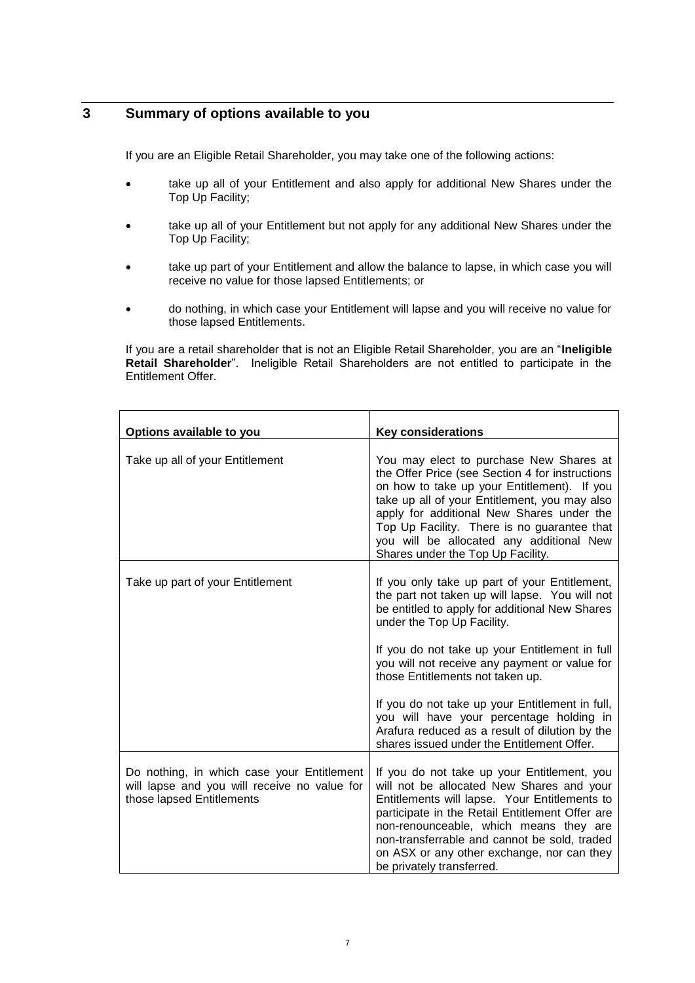## **3 Summary of options available to you**

If you are an Eligible Retail Shareholder, you may take one of the following actions:

- take up all of your Entitlement and also apply for additional New Shares under the Top Up Facility;
- take up all of your Entitlement but not apply for any additional New Shares under the Top Up Facility;
- take up part of your Entitlement and allow the balance to lapse, in which case you will receive no value for those lapsed Entitlements; or
- do nothing, in which case your Entitlement will lapse and you will receive no value for those lapsed Entitlements.

If you are a retail shareholder that is not an Eligible Retail Shareholder, you are an "**Ineligible Retail Shareholder**". Ineligible Retail Shareholders are not entitled to participate in the Entitlement Offer.

| Options available to you                                                                                                | <b>Key considerations</b>                                                                                                                                                                                                                                                                                                                                                                                                                                                                                             |
|-------------------------------------------------------------------------------------------------------------------------|-----------------------------------------------------------------------------------------------------------------------------------------------------------------------------------------------------------------------------------------------------------------------------------------------------------------------------------------------------------------------------------------------------------------------------------------------------------------------------------------------------------------------|
| Take up all of your Entitlement                                                                                         | You may elect to purchase New Shares at<br>the Offer Price (see Section 4 for instructions<br>on how to take up your Entitlement). If you<br>take up all of your Entitlement, you may also<br>apply for additional New Shares under the<br>Top Up Facility. There is no guarantee that<br>you will be allocated any additional New<br>Shares under the Top Up Facility.                                                                                                                                               |
| Take up part of your Entitlement                                                                                        | If you only take up part of your Entitlement,<br>the part not taken up will lapse. You will not<br>be entitled to apply for additional New Shares<br>under the Top Up Facility.<br>If you do not take up your Entitlement in full<br>you will not receive any payment or value for<br>those Entitlements not taken up.<br>If you do not take up your Entitlement in full,<br>you will have your percentage holding in<br>Arafura reduced as a result of dilution by the<br>shares issued under the Entitlement Offer. |
| Do nothing, in which case your Entitlement<br>will lapse and you will receive no value for<br>those lapsed Entitlements | If you do not take up your Entitlement, you<br>will not be allocated New Shares and your<br>Entitlements will lapse. Your Entitlements to<br>participate in the Retail Entitlement Offer are<br>non-renounceable, which means they are<br>non-transferrable and cannot be sold, traded<br>on ASX or any other exchange, nor can they<br>be privately transferred.                                                                                                                                                     |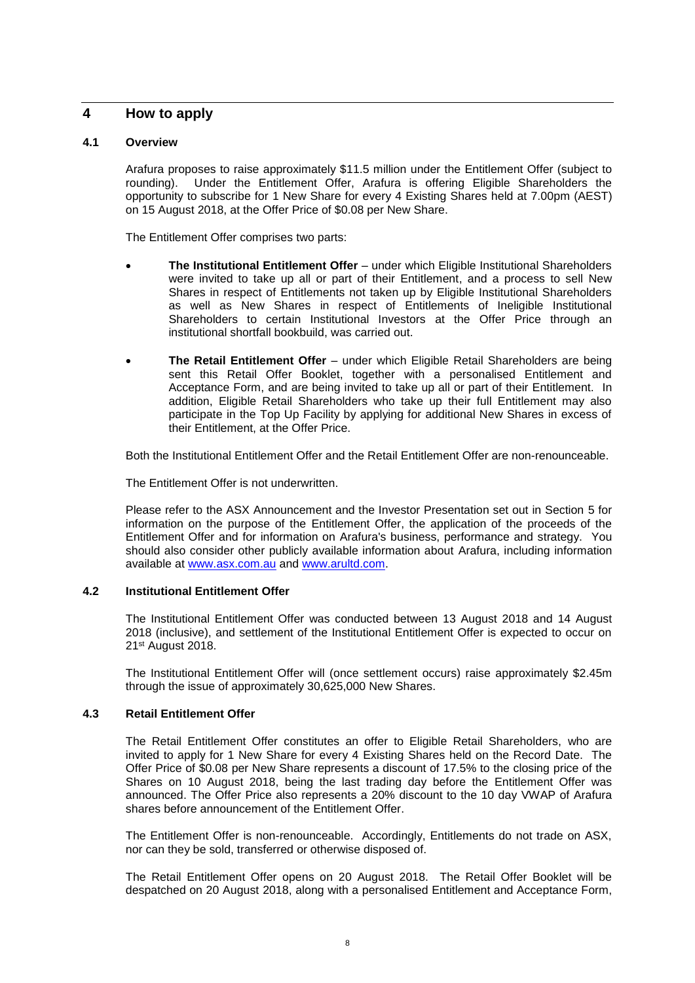## <span id="page-8-0"></span>**4 How to apply**

#### **4.1 Overview**

Arafura proposes to raise approximately \$11.5 million under the Entitlement Offer (subject to rounding). Under the Entitlement Offer, Arafura is offering Eligible Shareholders the opportunity to subscribe for 1 New Share for every 4 Existing Shares held at 7.00pm (AEST) on 15 August 2018, at the Offer Price of \$0.08 per New Share.

The Entitlement Offer comprises two parts:

- **The Institutional Entitlement Offer** under which Eligible Institutional Shareholders were invited to take up all or part of their Entitlement, and a process to sell New Shares in respect of Entitlements not taken up by Eligible Institutional Shareholders as well as New Shares in respect of Entitlements of Ineligible Institutional Shareholders to certain Institutional Investors at the Offer Price through an institutional shortfall bookbuild, was carried out.
- **The Retail Entitlement Offer** under which Eligible Retail Shareholders are being sent this Retail Offer Booklet, together with a personalised Entitlement and Acceptance Form, and are being invited to take up all or part of their Entitlement. In addition, Eligible Retail Shareholders who take up their full Entitlement may also participate in the Top Up Facility by applying for additional New Shares in excess of their Entitlement, at the Offer Price.

Both the Institutional Entitlement Offer and the Retail Entitlement Offer are non-renounceable.

The Entitlement Offer is not underwritten.

Please refer to the ASX Announcement and the Investor Presentation set out in Section [5](#page-17-0) for information on the purpose of the Entitlement Offer, the application of the proceeds of the Entitlement Offer and for information on Arafura's business, performance and strategy. You should also consider other publicly available information about Arafura, including information available at [www.asx.com.au](http://www.asx.com.au/) and [www.arultd.com.](http://www.arultd.com/)

#### **4.2 Institutional Entitlement Offer**

The Institutional Entitlement Offer was conducted between 13 August 2018 and 14 August 2018 (inclusive), and settlement of the Institutional Entitlement Offer is expected to occur on 21st August 2018.

The Institutional Entitlement Offer will (once settlement occurs) raise approximately \$2.45m through the issue of approximately 30,625,000 New Shares.

#### **4.3 Retail Entitlement Offer**

The Retail Entitlement Offer constitutes an offer to Eligible Retail Shareholders, who are invited to apply for 1 New Share for every 4 Existing Shares held on the Record Date. The Offer Price of \$0.08 per New Share represents a discount of 17.5% to the closing price of the Shares on 10 August 2018, being the last trading day before the Entitlement Offer was announced. The Offer Price also represents a 20% discount to the 10 day VWAP of Arafura shares before announcement of the Entitlement Offer.

The Entitlement Offer is non-renounceable. Accordingly, Entitlements do not trade on ASX, nor can they be sold, transferred or otherwise disposed of.

The Retail Entitlement Offer opens on 20 August 2018. The Retail Offer Booklet will be despatched on 20 August 2018, along with a personalised Entitlement and Acceptance Form,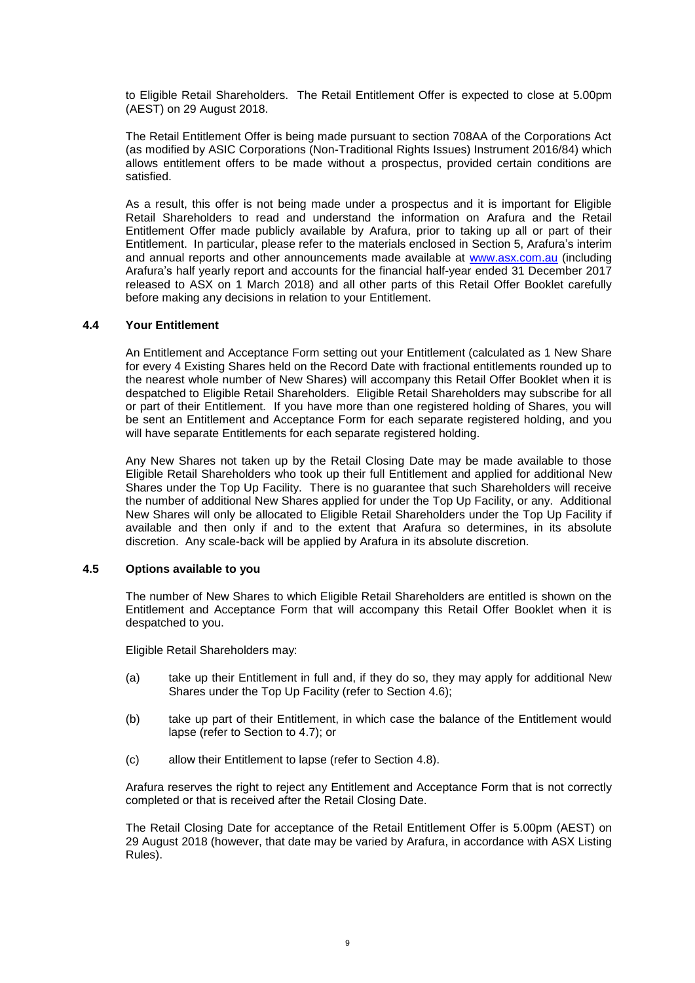to Eligible Retail Shareholders. The Retail Entitlement Offer is expected to close at 5.00pm (AEST) on 29 August 2018.

The Retail Entitlement Offer is being made pursuant to section 708AA of the Corporations Act (as modified by ASIC Corporations (Non-Traditional Rights Issues) Instrument 2016/84) which allows entitlement offers to be made without a prospectus, provided certain conditions are satisfied.

As a result, this offer is not being made under a prospectus and it is important for Eligible Retail Shareholders to read and understand the information on Arafura and the Retail Entitlement Offer made publicly available by Arafura, prior to taking up all or part of their Entitlement. In particular, please refer to the materials enclosed in Section [5,](#page-17-0) Arafura's interim and annual reports and other announcements made available at [www.asx.com.au](http://www.asx.com.au/) (including Arafura's half yearly report and accounts for the financial half-year ended 31 December 2017 released to ASX on 1 March 2018) and all other parts of this Retail Offer Booklet carefully before making any decisions in relation to your Entitlement.

#### **4.4 Your Entitlement**

An Entitlement and Acceptance Form setting out your Entitlement (calculated as 1 New Share for every 4 Existing Shares held on the Record Date with fractional entitlements rounded up to the nearest whole number of New Shares) will accompany this Retail Offer Booklet when it is despatched to Eligible Retail Shareholders. Eligible Retail Shareholders may subscribe for all or part of their Entitlement. If you have more than one registered holding of Shares, you will be sent an Entitlement and Acceptance Form for each separate registered holding, and you will have separate Entitlements for each separate registered holding.

Any New Shares not taken up by the Retail Closing Date may be made available to those Eligible Retail Shareholders who took up their full Entitlement and applied for additional New Shares under the Top Up Facility. There is no guarantee that such Shareholders will receive the number of additional New Shares applied for under the Top Up Facility, or any. Additional New Shares will only be allocated to Eligible Retail Shareholders under the Top Up Facility if available and then only if and to the extent that Arafura so determines, in its absolute discretion. Any scale-back will be applied by Arafura in its absolute discretion.

#### **4.5 Options available to you**

The number of New Shares to which Eligible Retail Shareholders are entitled is shown on the Entitlement and Acceptance Form that will accompany this Retail Offer Booklet when it is despatched to you.

Eligible Retail Shareholders may:

- (a) take up their Entitlement in full and, if they do so, they may apply for additional New Shares under the Top Up Facility (refer to Section [4.6\)](#page-10-0);
- (b) take up part of their Entitlement, in which case the balance of the Entitlement would lapse (refer to Section to [4.7\)](#page-10-1); or
- (c) allow their Entitlement to lapse (refer to Section [4.8\)](#page-10-2).

Arafura reserves the right to reject any Entitlement and Acceptance Form that is not correctly completed or that is received after the Retail Closing Date.

The Retail Closing Date for acceptance of the Retail Entitlement Offer is 5.00pm (AEST) on 29 August 2018 (however, that date may be varied by Arafura, in accordance with ASX Listing Rules).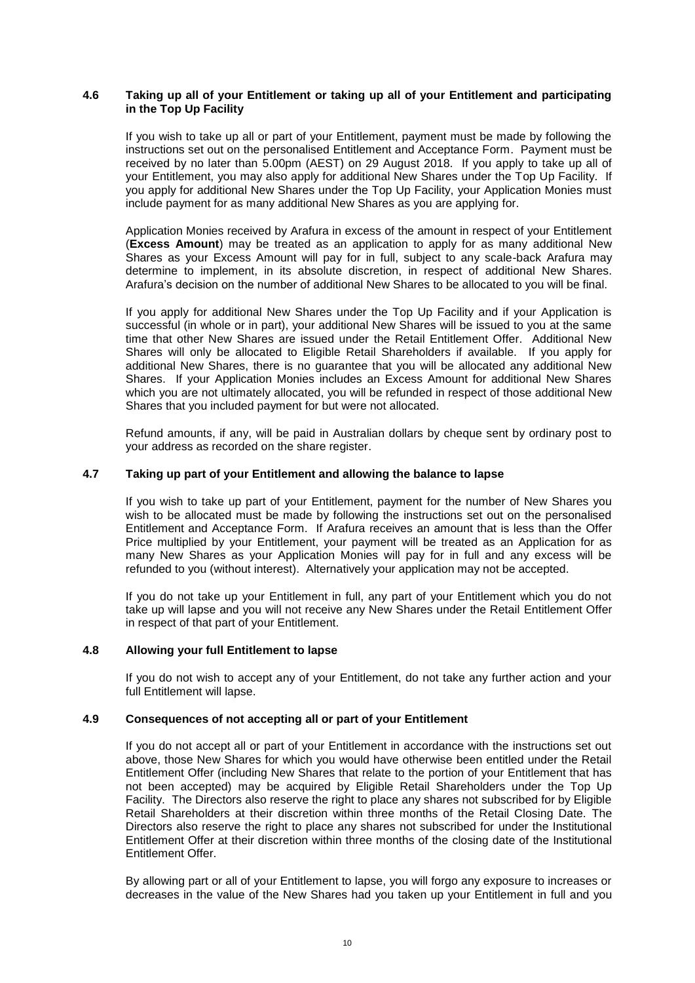#### <span id="page-10-0"></span>**4.6 Taking up all of your Entitlement or taking up all of your Entitlement and participating in the Top Up Facility**

If you wish to take up all or part of your Entitlement, payment must be made by following the instructions set out on the personalised Entitlement and Acceptance Form. Payment must be received by no later than 5.00pm (AEST) on 29 August 2018. If you apply to take up all of your Entitlement, you may also apply for additional New Shares under the Top Up Facility. If you apply for additional New Shares under the Top Up Facility, your Application Monies must include payment for as many additional New Shares as you are applying for.

Application Monies received by Arafura in excess of the amount in respect of your Entitlement (**Excess Amount**) may be treated as an application to apply for as many additional New Shares as your Excess Amount will pay for in full, subject to any scale-back Arafura may determine to implement, in its absolute discretion, in respect of additional New Shares. Arafura's decision on the number of additional New Shares to be allocated to you will be final.

If you apply for additional New Shares under the Top Up Facility and if your Application is successful (in whole or in part), your additional New Shares will be issued to you at the same time that other New Shares are issued under the Retail Entitlement Offer. Additional New Shares will only be allocated to Eligible Retail Shareholders if available. If you apply for additional New Shares, there is no guarantee that you will be allocated any additional New Shares. If your Application Monies includes an Excess Amount for additional New Shares which you are not ultimately allocated, you will be refunded in respect of those additional New Shares that you included payment for but were not allocated.

Refund amounts, if any, will be paid in Australian dollars by cheque sent by ordinary post to your address as recorded on the share register.

#### <span id="page-10-1"></span>**4.7 Taking up part of your Entitlement and allowing the balance to lapse**

If you wish to take up part of your Entitlement, payment for the number of New Shares you wish to be allocated must be made by following the instructions set out on the personalised Entitlement and Acceptance Form. If Arafura receives an amount that is less than the Offer Price multiplied by your Entitlement, your payment will be treated as an Application for as many New Shares as your Application Monies will pay for in full and any excess will be refunded to you (without interest). Alternatively your application may not be accepted.

If you do not take up your Entitlement in full, any part of your Entitlement which you do not take up will lapse and you will not receive any New Shares under the Retail Entitlement Offer in respect of that part of your Entitlement.

#### <span id="page-10-2"></span>**4.8 Allowing your full Entitlement to lapse**

If you do not wish to accept any of your Entitlement, do not take any further action and your full Entitlement will lapse.

#### **4.9 Consequences of not accepting all or part of your Entitlement**

If you do not accept all or part of your Entitlement in accordance with the instructions set out above, those New Shares for which you would have otherwise been entitled under the Retail Entitlement Offer (including New Shares that relate to the portion of your Entitlement that has not been accepted) may be acquired by Eligible Retail Shareholders under the Top Up Facility. The Directors also reserve the right to place any shares not subscribed for by Eligible Retail Shareholders at their discretion within three months of the Retail Closing Date. The Directors also reserve the right to place any shares not subscribed for under the Institutional Entitlement Offer at their discretion within three months of the closing date of the Institutional Entitlement Offer.

By allowing part or all of your Entitlement to lapse, you will forgo any exposure to increases or decreases in the value of the New Shares had you taken up your Entitlement in full and you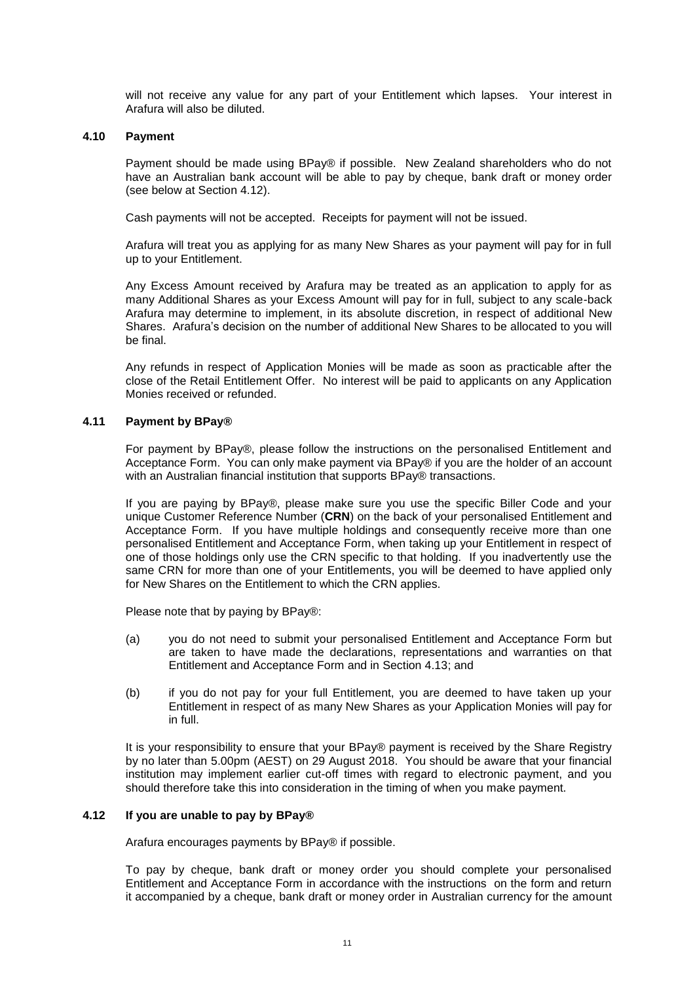will not receive any value for any part of your Entitlement which lapses. Your interest in Arafura will also be diluted.

#### **4.10 Payment**

Payment should be made using BPay® if possible. New Zealand shareholders who do not have an Australian bank account will be able to pay by cheque, bank draft or money order (see below at Section [4.12\)](#page-11-0).

Cash payments will not be accepted. Receipts for payment will not be issued.

Arafura will treat you as applying for as many New Shares as your payment will pay for in full up to your Entitlement.

Any Excess Amount received by Arafura may be treated as an application to apply for as many Additional Shares as your Excess Amount will pay for in full, subject to any scale-back Arafura may determine to implement, in its absolute discretion, in respect of additional New Shares. Arafura's decision on the number of additional New Shares to be allocated to you will be final.

Any refunds in respect of Application Monies will be made as soon as practicable after the close of the Retail Entitlement Offer. No interest will be paid to applicants on any Application Monies received or refunded.

#### **4.11 Payment by BPay®**

For payment by BPay®, please follow the instructions on the personalised Entitlement and Acceptance Form. You can only make payment via BPay® if you are the holder of an account with an Australian financial institution that supports BPay® transactions.

If you are paying by BPay®, please make sure you use the specific Biller Code and your unique Customer Reference Number (**CRN**) on the back of your personalised Entitlement and Acceptance Form. If you have multiple holdings and consequently receive more than one personalised Entitlement and Acceptance Form, when taking up your Entitlement in respect of one of those holdings only use the CRN specific to that holding. If you inadvertently use the same CRN for more than one of your Entitlements, you will be deemed to have applied only for New Shares on the Entitlement to which the CRN applies.

Please note that by paying by BPay®:

- (a) you do not need to submit your personalised Entitlement and Acceptance Form but are taken to have made the declarations, representations and warranties on that Entitlement and Acceptance Form and in Section [4.13;](#page-12-0) and
- (b) if you do not pay for your full Entitlement, you are deemed to have taken up your Entitlement in respect of as many New Shares as your Application Monies will pay for in full.

It is your responsibility to ensure that your BPay® payment is received by the Share Registry by no later than 5.00pm (AEST) on 29 August 2018. You should be aware that your financial institution may implement earlier cut-off times with regard to electronic payment, and you should therefore take this into consideration in the timing of when you make payment.

#### <span id="page-11-0"></span>**4.12 If you are unable to pay by BPay®**

Arafura encourages payments by BPay® if possible.

To pay by cheque, bank draft or money order you should complete your personalised Entitlement and Acceptance Form in accordance with the instructions on the form and return it accompanied by a cheque, bank draft or money order in Australian currency for the amount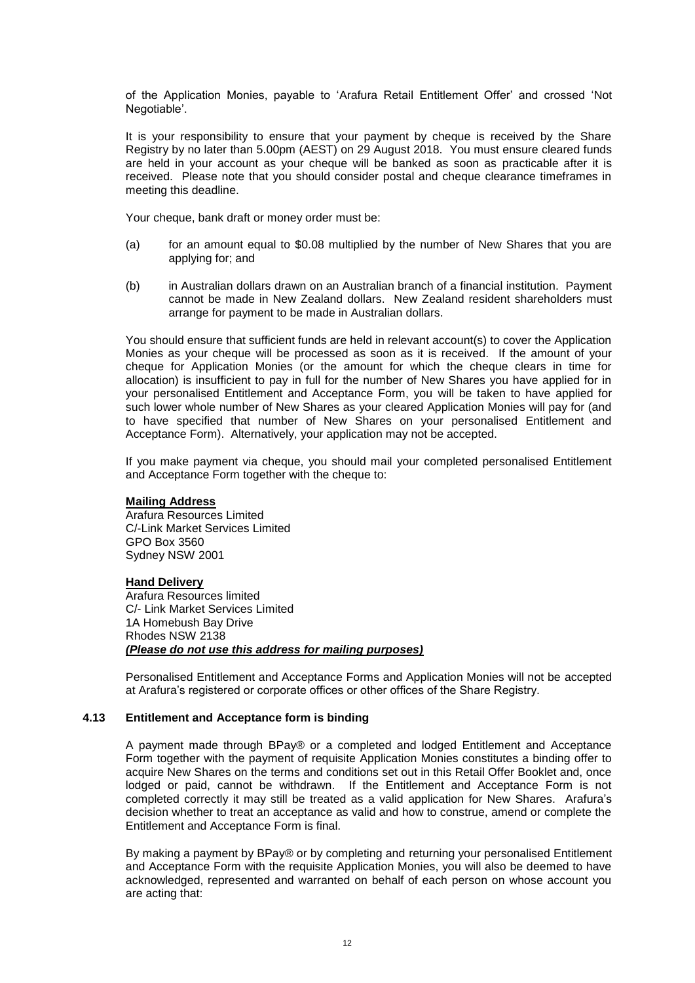of the Application Monies, payable to 'Arafura Retail Entitlement Offer' and crossed 'Not Negotiable'.

It is your responsibility to ensure that your payment by cheque is received by the Share Registry by no later than 5.00pm (AEST) on 29 August 2018. You must ensure cleared funds are held in your account as your cheque will be banked as soon as practicable after it is received. Please note that you should consider postal and cheque clearance timeframes in meeting this deadline.

Your cheque, bank draft or money order must be:

- (a) for an amount equal to \$0.08 multiplied by the number of New Shares that you are applying for; and
- (b) in Australian dollars drawn on an Australian branch of a financial institution. Payment cannot be made in New Zealand dollars. New Zealand resident shareholders must arrange for payment to be made in Australian dollars.

You should ensure that sufficient funds are held in relevant account(s) to cover the Application Monies as your cheque will be processed as soon as it is received. If the amount of your cheque for Application Monies (or the amount for which the cheque clears in time for allocation) is insufficient to pay in full for the number of New Shares you have applied for in your personalised Entitlement and Acceptance Form, you will be taken to have applied for such lower whole number of New Shares as your cleared Application Monies will pay for (and to have specified that number of New Shares on your personalised Entitlement and Acceptance Form). Alternatively, your application may not be accepted.

If you make payment via cheque, you should mail your completed personalised Entitlement and Acceptance Form together with the cheque to:

#### **Mailing Address**

Arafura Resources Limited C/-Link Market Services Limited GPO Box 3560 Sydney NSW 2001

#### **Hand Delivery**

Arafura Resources limited C/- Link Market Services Limited 1A Homebush Bay Drive Rhodes NSW 2138 *(Please do not use this address for mailing purposes)*

Personalised Entitlement and Acceptance Forms and Application Monies will not be accepted at Arafura's registered or corporate offices or other offices of the Share Registry.

#### <span id="page-12-0"></span>**4.13 Entitlement and Acceptance form is binding**

A payment made through BPay® or a completed and lodged Entitlement and Acceptance Form together with the payment of requisite Application Monies constitutes a binding offer to acquire New Shares on the terms and conditions set out in this Retail Offer Booklet and, once lodged or paid, cannot be withdrawn. If the Entitlement and Acceptance Form is not completed correctly it may still be treated as a valid application for New Shares. Arafura's decision whether to treat an acceptance as valid and how to construe, amend or complete the Entitlement and Acceptance Form is final.

By making a payment by BPay® or by completing and returning your personalised Entitlement and Acceptance Form with the requisite Application Monies, you will also be deemed to have acknowledged, represented and warranted on behalf of each person on whose account you are acting that: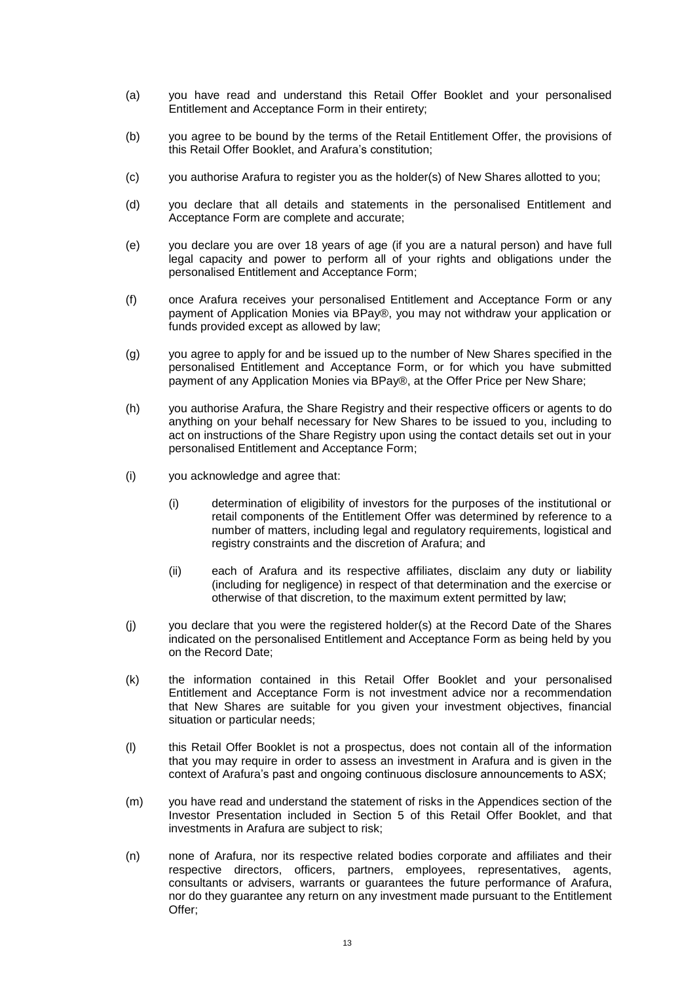- (a) you have read and understand this Retail Offer Booklet and your personalised Entitlement and Acceptance Form in their entirety;
- (b) you agree to be bound by the terms of the Retail Entitlement Offer, the provisions of this Retail Offer Booklet, and Arafura's constitution;
- (c) you authorise Arafura to register you as the holder(s) of New Shares allotted to you;
- (d) you declare that all details and statements in the personalised Entitlement and Acceptance Form are complete and accurate;
- (e) you declare you are over 18 years of age (if you are a natural person) and have full legal capacity and power to perform all of your rights and obligations under the personalised Entitlement and Acceptance Form;
- (f) once Arafura receives your personalised Entitlement and Acceptance Form or any payment of Application Monies via BPay®, you may not withdraw your application or funds provided except as allowed by law;
- (g) you agree to apply for and be issued up to the number of New Shares specified in the personalised Entitlement and Acceptance Form, or for which you have submitted payment of any Application Monies via BPay®, at the Offer Price per New Share;
- (h) you authorise Arafura, the Share Registry and their respective officers or agents to do anything on your behalf necessary for New Shares to be issued to you, including to act on instructions of the Share Registry upon using the contact details set out in your personalised Entitlement and Acceptance Form;
- (i) you acknowledge and agree that:
	- (i) determination of eligibility of investors for the purposes of the institutional or retail components of the Entitlement Offer was determined by reference to a number of matters, including legal and regulatory requirements, logistical and registry constraints and the discretion of Arafura; and
	- (ii) each of Arafura and its respective affiliates, disclaim any duty or liability (including for negligence) in respect of that determination and the exercise or otherwise of that discretion, to the maximum extent permitted by law;
- (j) you declare that you were the registered holder(s) at the Record Date of the Shares indicated on the personalised Entitlement and Acceptance Form as being held by you on the Record Date;
- (k) the information contained in this Retail Offer Booklet and your personalised Entitlement and Acceptance Form is not investment advice nor a recommendation that New Shares are suitable for you given your investment objectives, financial situation or particular needs;
- (l) this Retail Offer Booklet is not a prospectus, does not contain all of the information that you may require in order to assess an investment in Arafura and is given in the context of Arafura's past and ongoing continuous disclosure announcements to ASX;
- (m) you have read and understand the statement of risks in the Appendices section of the Investor Presentation included in Section [5](#page-17-0) of this Retail Offer Booklet, and that investments in Arafura are subject to risk;
- (n) none of Arafura, nor its respective related bodies corporate and affiliates and their respective directors, officers, partners, employees, representatives, agents, consultants or advisers, warrants or guarantees the future performance of Arafura, nor do they guarantee any return on any investment made pursuant to the Entitlement Offer;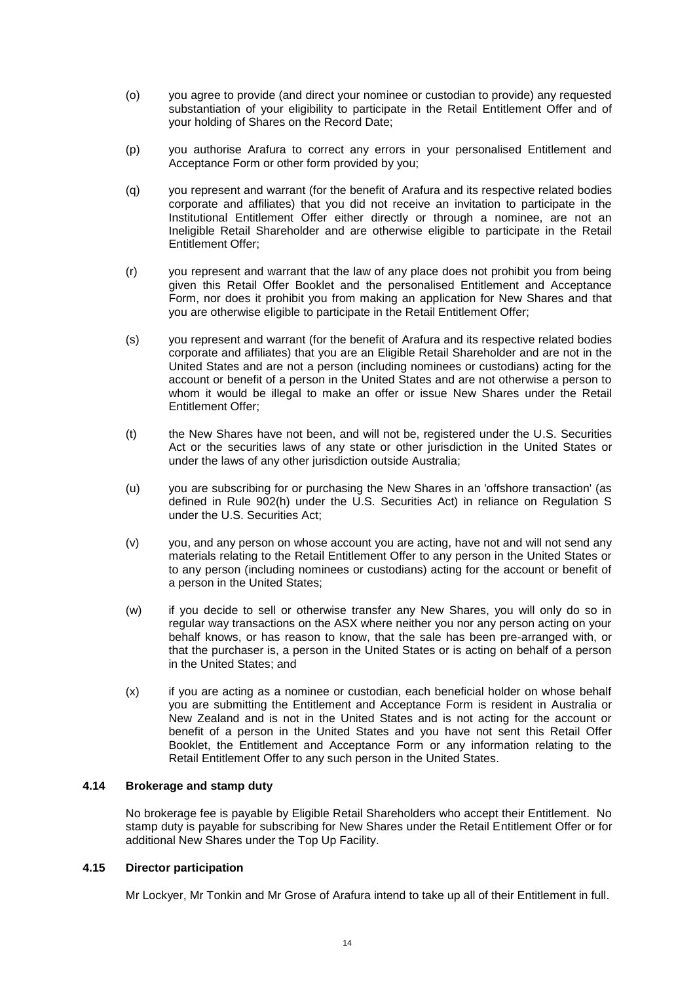- (o) you agree to provide (and direct your nominee or custodian to provide) any requested substantiation of your eligibility to participate in the Retail Entitlement Offer and of your holding of Shares on the Record Date;
- (p) you authorise Arafura to correct any errors in your personalised Entitlement and Acceptance Form or other form provided by you;
- (q) you represent and warrant (for the benefit of Arafura and its respective related bodies corporate and affiliates) that you did not receive an invitation to participate in the Institutional Entitlement Offer either directly or through a nominee, are not an Ineligible Retail Shareholder and are otherwise eligible to participate in the Retail Entitlement Offer;
- (r) you represent and warrant that the law of any place does not prohibit you from being given this Retail Offer Booklet and the personalised Entitlement and Acceptance Form, nor does it prohibit you from making an application for New Shares and that you are otherwise eligible to participate in the Retail Entitlement Offer;
- (s) you represent and warrant (for the benefit of Arafura and its respective related bodies corporate and affiliates) that you are an Eligible Retail Shareholder and are not in the United States and are not a person (including nominees or custodians) acting for the account or benefit of a person in the United States and are not otherwise a person to whom it would be illegal to make an offer or issue New Shares under the Retail Entitlement Offer;
- (t) the New Shares have not been, and will not be, registered under the U.S. Securities Act or the securities laws of any state or other jurisdiction in the United States or under the laws of any other jurisdiction outside Australia;
- (u) you are subscribing for or purchasing the New Shares in an 'offshore transaction' (as defined in Rule 902(h) under the U.S. Securities Act) in reliance on Regulation S under the U.S. Securities Act;
- (v) you, and any person on whose account you are acting, have not and will not send any materials relating to the Retail Entitlement Offer to any person in the United States or to any person (including nominees or custodians) acting for the account or benefit of a person in the United States;
- (w) if you decide to sell or otherwise transfer any New Shares, you will only do so in regular way transactions on the ASX where neither you nor any person acting on your behalf knows, or has reason to know, that the sale has been pre-arranged with, or that the purchaser is, a person in the United States or is acting on behalf of a person in the United States; and
- (x) if you are acting as a nominee or custodian, each beneficial holder on whose behalf you are submitting the Entitlement and Acceptance Form is resident in Australia or New Zealand and is not in the United States and is not acting for the account or benefit of a person in the United States and you have not sent this Retail Offer Booklet, the Entitlement and Acceptance Form or any information relating to the Retail Entitlement Offer to any such person in the United States.

## **4.14 Brokerage and stamp duty**

No brokerage fee is payable by Eligible Retail Shareholders who accept their Entitlement. No stamp duty is payable for subscribing for New Shares under the Retail Entitlement Offer or for additional New Shares under the Top Up Facility.

#### **4.15 Director participation**

Mr Lockyer, Mr Tonkin and Mr Grose of Arafura intend to take up all of their Entitlement in full.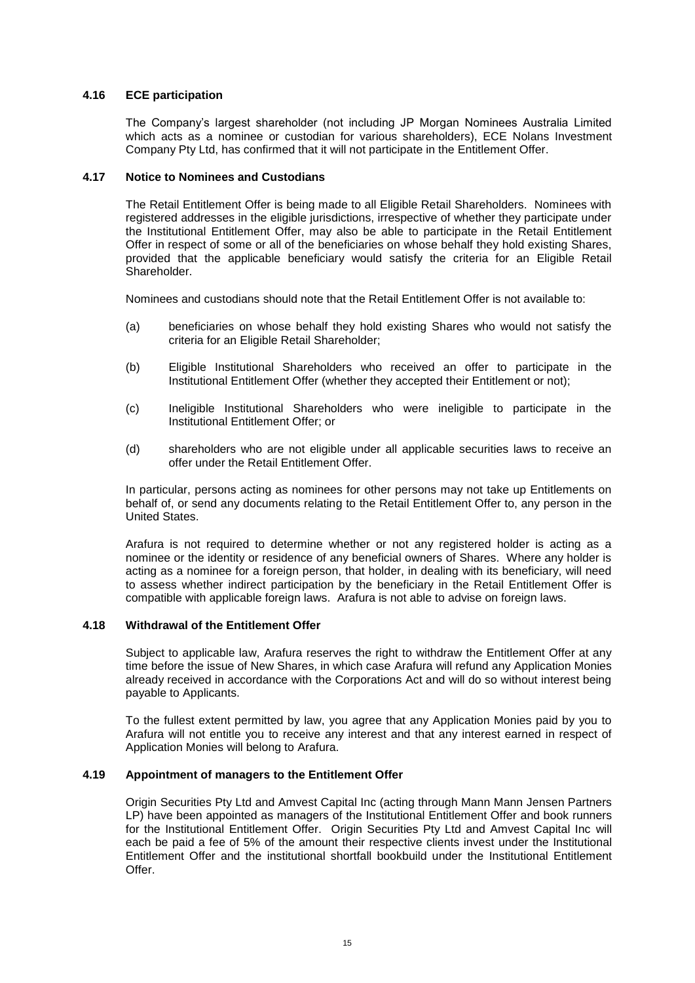## **4.16 ECE participation**

The Company's largest shareholder (not including JP Morgan Nominees Australia Limited which acts as a nominee or custodian for various shareholders), ECE Nolans Investment Company Pty Ltd, has confirmed that it will not participate in the Entitlement Offer.

#### **4.17 Notice to Nominees and Custodians**

The Retail Entitlement Offer is being made to all Eligible Retail Shareholders. Nominees with registered addresses in the eligible jurisdictions, irrespective of whether they participate under the Institutional Entitlement Offer, may also be able to participate in the Retail Entitlement Offer in respect of some or all of the beneficiaries on whose behalf they hold existing Shares, provided that the applicable beneficiary would satisfy the criteria for an Eligible Retail Shareholder.

Nominees and custodians should note that the Retail Entitlement Offer is not available to:

- (a) beneficiaries on whose behalf they hold existing Shares who would not satisfy the criteria for an Eligible Retail Shareholder;
- (b) Eligible Institutional Shareholders who received an offer to participate in the Institutional Entitlement Offer (whether they accepted their Entitlement or not);
- (c) Ineligible Institutional Shareholders who were ineligible to participate in the Institutional Entitlement Offer; or
- (d) shareholders who are not eligible under all applicable securities laws to receive an offer under the Retail Entitlement Offer.

In particular, persons acting as nominees for other persons may not take up Entitlements on behalf of, or send any documents relating to the Retail Entitlement Offer to, any person in the United States.

Arafura is not required to determine whether or not any registered holder is acting as a nominee or the identity or residence of any beneficial owners of Shares. Where any holder is acting as a nominee for a foreign person, that holder, in dealing with its beneficiary, will need to assess whether indirect participation by the beneficiary in the Retail Entitlement Offer is compatible with applicable foreign laws. Arafura is not able to advise on foreign laws.

#### **4.18 Withdrawal of the Entitlement Offer**

Subject to applicable law, Arafura reserves the right to withdraw the Entitlement Offer at any time before the issue of New Shares, in which case Arafura will refund any Application Monies already received in accordance with the Corporations Act and will do so without interest being payable to Applicants.

To the fullest extent permitted by law, you agree that any Application Monies paid by you to Arafura will not entitle you to receive any interest and that any interest earned in respect of Application Monies will belong to Arafura.

#### **4.19 Appointment of managers to the Entitlement Offer**

Origin Securities Pty Ltd and Amvest Capital Inc (acting through Mann Mann Jensen Partners LP) have been appointed as managers of the Institutional Entitlement Offer and book runners for the Institutional Entitlement Offer. Origin Securities Pty Ltd and Amvest Capital Inc will each be paid a fee of 5% of the amount their respective clients invest under the Institutional Entitlement Offer and the institutional shortfall bookbuild under the Institutional Entitlement Offer.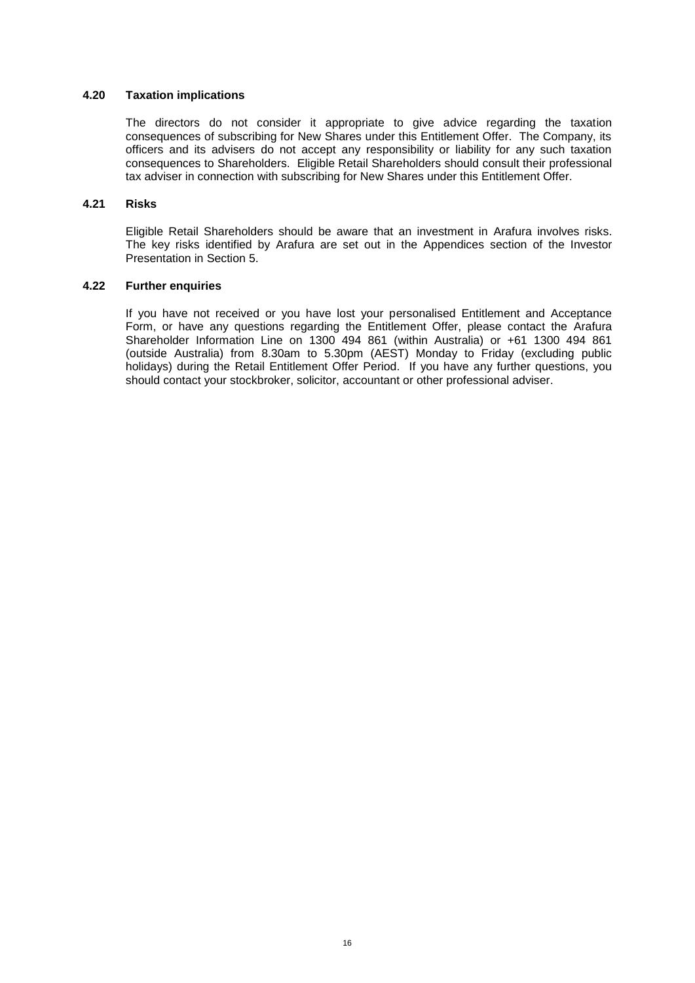#### **4.20 Taxation implications**

The directors do not consider it appropriate to give advice regarding the taxation consequences of subscribing for New Shares under this Entitlement Offer. The Company, its officers and its advisers do not accept any responsibility or liability for any such taxation consequences to Shareholders. Eligible Retail Shareholders should consult their professional tax adviser in connection with subscribing for New Shares under this Entitlement Offer.

#### **4.21 Risks**

Eligible Retail Shareholders should be aware that an investment in Arafura involves risks. The key risks identified by Arafura are set out in the Appendices section of the Investor Presentation in Section [5.](#page-17-0)

#### **4.22 Further enquiries**

If you have not received or you have lost your personalised Entitlement and Acceptance Form, or have any questions regarding the Entitlement Offer, please contact the Arafura Shareholder Information Line on 1300 494 861 (within Australia) or +61 1300 494 861 (outside Australia) from 8.30am to 5.30pm (AEST) Monday to Friday (excluding public holidays) during the Retail Entitlement Offer Period. If you have any further questions, you should contact your stockbroker, solicitor, accountant or other professional adviser.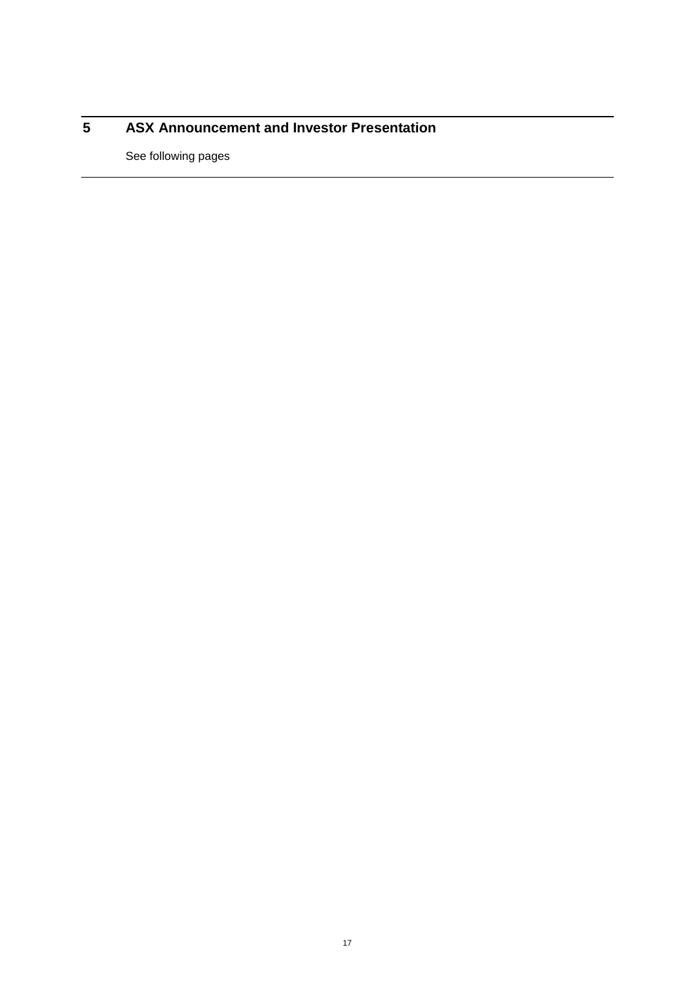## <span id="page-17-0"></span>**ASX Announcement and Investor Presentation**

See following pages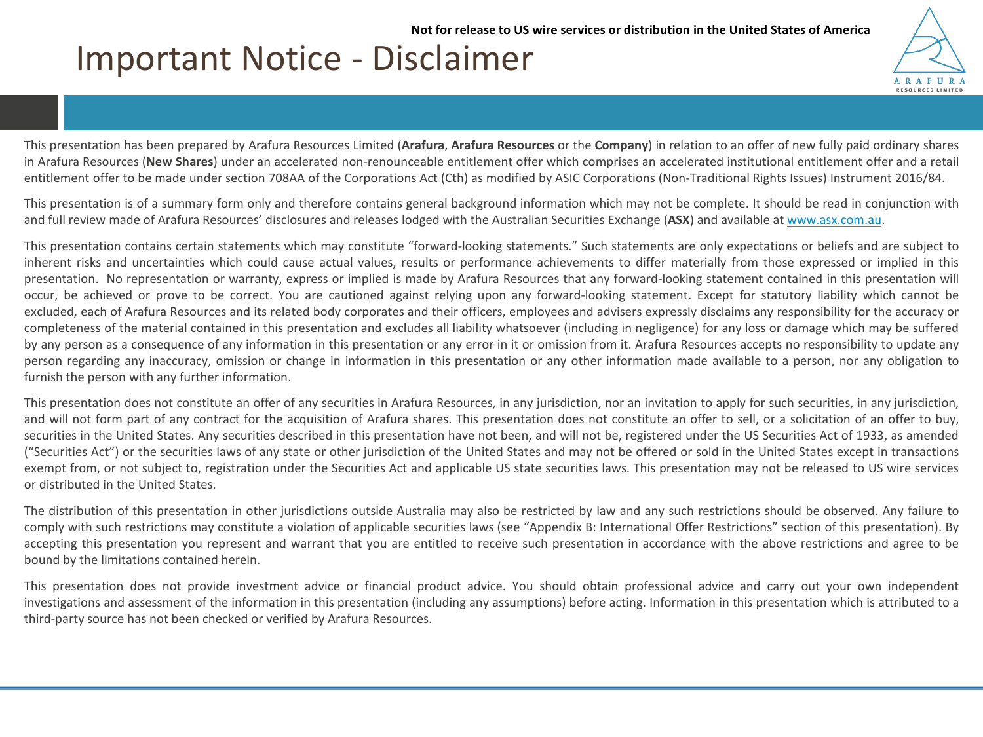## **6 Additional information**

#### <span id="page-18-0"></span>**6.1 Eligibility of Retail Shareholders**

The Retail Entitlement Offer is being offered to all Eligible Retail Shareholders only.

**Eligible Retail Shareholders** are Shareholders who:

- (a) are registered as holders of Existing Shares as at 7:00pm (AEST) on the Record Date;
- (b) have a registered address on Arafura's share register in Australia or New Zealand;
- (c) are not in the United States and are not a person (including nominees or custodians) acting for the account or benefit of a person in the United States;
- (d) were not invited to participate in the Institutional Entitlement Offer and were not treated as an Ineligible Institutional Shareholder under the Institutional Entitlement Offer; and
- (e) are eligible under all applicable securities laws to receive an offer under the Retail Entitlement Offer.

Retail shareholders who do not satisfy the above criteria are Ineligible Retail Shareholders.

By returning a completed personalised Entitlement and Acceptance Form or making a payment by either BPay® or cheque, bank draft or money order, you will be taken to have represented and warranted that you satisfy each of the criteria listed above to be an Eligible Retail Shareholder. Nominees, trustees or custodians are therefore advised to seek independent professional advice as to how to proceed.

Arafura has determined that it is unreasonable to extend the Retail Entitlement Offer to Ineligible Retail Shareholders because of the small number of such Shareholders, the number and value of Shares that they hold and the cost of complying with the applicable regulations in jurisdictions outside Australia and New Zealand.

#### **6.2 Ranking of New Shares**

The New Shares issued under the Retail Entitlement Offer will be fully paid and rank equally with Existing Shares.

#### **6.3 Allotment**

Arafura has applied for quotation of the New Shares on ASX in accordance with ASX Listing Rule requirements. If ASX does not grant quotation of the New Shares, Arafura will repay all Application Monies (without interest).

Trading of New Shares will, subject to ASX approval, occur shortly after allotment. It is expected that allotment of the New Shares under the Retail Entitlement Offer will take place on 5 September 2018. Application Monies will be held by Arafura on trust for Applicants until the New Shares are allotted. No interest will be paid on Application Monies.

Subject to approval being granted, it is expected that the New Shares allotted under the Retail Entitlement Offer will commence trading on a normal basis on 6 September 2018.

It is the responsibility of Applicants to determine the number of New Shares allotted and issued to them prior to trading in the New Shares. The sale by an Applicant of New Shares prior to receiving their holding statement is at the Applicant's own risk.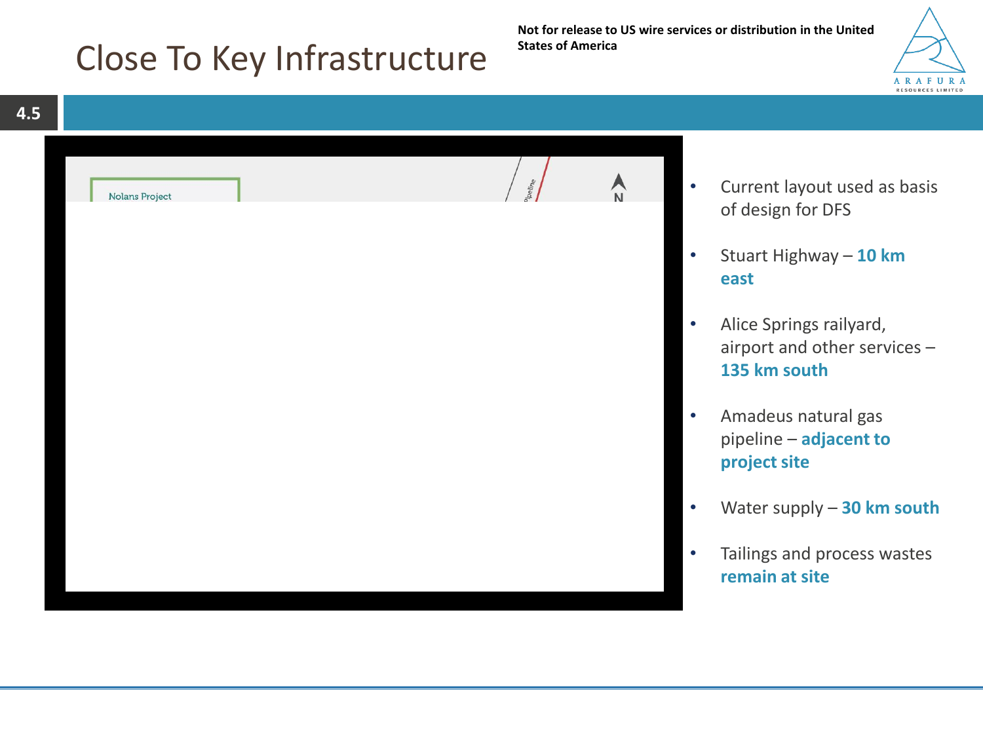#### **6.4 Reconciliation**

The Entitlement Offer is a complex process and in some instances investors may believe they own more Shares than they actually do or are otherwise entitled to more New Shares than initially offered to them. These matters may result in a need for reconciliation. If reconciliation is required, it is possible that Arafura may need to issue a small quantity of additional New Shares to ensure all Eligible Shareholders receive their full Entitlement. The price at which these additional New Shares would be issued, if required, is the Offer Price.

Arafura also reserves the right to reduce the number of New Shares allocated to Eligible Shareholders or persons claiming to be Eligible Shareholders, if their Entitlement claims prove to be overstated, if they or their nominees fail to provide information requested to substantiate their Entitlement claims, or if they are not Eligible Shareholders.

#### **6.5 Continuous Disclosure**

Arafura is a "disclosing entity" under the Corporations Act and is subject to regular reporting and disclosure obligations under the Corporations Act and ASX Listing Rules, including the preparation of annual reports and half yearly reports.

Arafura is required to notify ASX of information about specific events and matters as they arise for the purposes of ASX making that information available to the stock markets conducted by ASX. In particular, Arafura has an obligation under the ASX Listing Rules (subject to certain exceptions) to notify ASX immediately of any information of which it is or becomes aware which a reasonable person would expect to have a material effect on the price or value of Arafura shares. That information is available to the public from ASX.

#### **6.6 No cooling off rights**

Cooling off rights do not apply to an investment in New Shares. You cannot withdraw your application once it has been accepted.

#### **6.7 Not investment advice**

This Retail Offer Booklet is not a prospectus under the Corporations Act and has not been lodged with ASIC. It is also not financial product advice and has been prepared without taking into account your investment objectives, financial circumstances or particular needs. Arafura is not licensed to provide financial product advice in respect of the New Shares. The information contained in this Retail Offer Booklet does not purport to contain all the information that you may require to evaluate a possible application for New Shares, nor does it purport to contain all the information which would be required in a prospectus prepared in accordance with the requirements of the Corporations Act. It should be read in conjunction with Arafura's other periodic statements and continuous disclosure announcements lodged with ASX.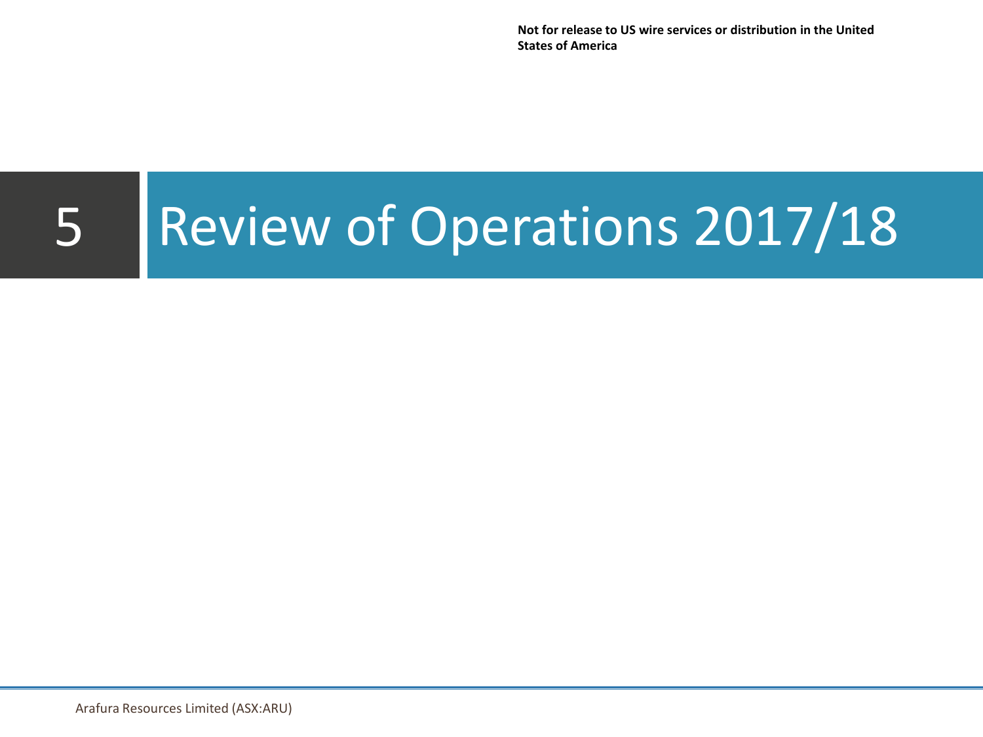# <span id="page-20-0"></span>**7 Glossary**

In this Retail Offer Booklet, the following terms have the following meanings:

| <b>Term</b>                           | <b>Definition</b>                                                                                                                                                                                                                                                                                                                                                                                                                                                                                                                                                                                                                   |
|---------------------------------------|-------------------------------------------------------------------------------------------------------------------------------------------------------------------------------------------------------------------------------------------------------------------------------------------------------------------------------------------------------------------------------------------------------------------------------------------------------------------------------------------------------------------------------------------------------------------------------------------------------------------------------------|
| \$ or A\$ or AUD or dollars           | Australian dollars (unless otherwise specified)                                                                                                                                                                                                                                                                                                                                                                                                                                                                                                                                                                                     |
| Applicant                             | an Eligible Retail Shareholder who has submitted a valid<br>Application                                                                                                                                                                                                                                                                                                                                                                                                                                                                                                                                                             |
| Application                           | an application to subscribe for New Shares under the Retail<br><b>Entitlement Offer</b>                                                                                                                                                                                                                                                                                                                                                                                                                                                                                                                                             |
| <b>Application Monies</b>             | monies received from applicants in respect of their Applications                                                                                                                                                                                                                                                                                                                                                                                                                                                                                                                                                                    |
| Arafura                               | Arafura Resources Limited (ACN 080 933 455)                                                                                                                                                                                                                                                                                                                                                                                                                                                                                                                                                                                         |
| <b>ASIC</b>                           | Australian Securities and Investments Commission                                                                                                                                                                                                                                                                                                                                                                                                                                                                                                                                                                                    |
| <b>ASX</b>                            | ASX Limited (ABN 98 008 624 691) or the financial products<br>market operated by that entity known as the Australian<br>Securities Exchange                                                                                                                                                                                                                                                                                                                                                                                                                                                                                         |
| <b>ASX Announcement</b>               | the announcement released to ASX on 10 August 2018 in<br>connection with the Entitlement Offer, a copy of which is set out<br>in Section 5                                                                                                                                                                                                                                                                                                                                                                                                                                                                                          |
| <b>ASX Listing Rules</b>              | the official listing rules of ASX, as amended or replaced from<br>time to time                                                                                                                                                                                                                                                                                                                                                                                                                                                                                                                                                      |
| <b>Corporations Act</b>               | Corporations Act 2001 (Cth)                                                                                                                                                                                                                                                                                                                                                                                                                                                                                                                                                                                                         |
| Eligible Institutional<br>Shareholder | a person who:<br>was identified as an Institutional Shareholder by<br>Arafura;<br>has a registered address in Australia, New Zealand or<br>certain other jurisdictions (except the United States)<br>disclosed in the "International Offer Restrictions" slides<br>of the Investor Presentation;<br>is not in the United States and is not acting for the<br>account or benefit of a person in the United States;<br>is eligible under all applicable securities laws to receive<br>an offer under the Institutional Entitlement Offer; and<br>who has successfully received an offer under the<br>Institutional Entitlement Offer. |
| Eligible Retail Shareholder           | is defined in Section 6.1                                                                                                                                                                                                                                                                                                                                                                                                                                                                                                                                                                                                           |
| Eligible Shareholder                  | a person who is an Eligible Institutional Shareholder or an<br>Eligible Retail Shareholder                                                                                                                                                                                                                                                                                                                                                                                                                                                                                                                                          |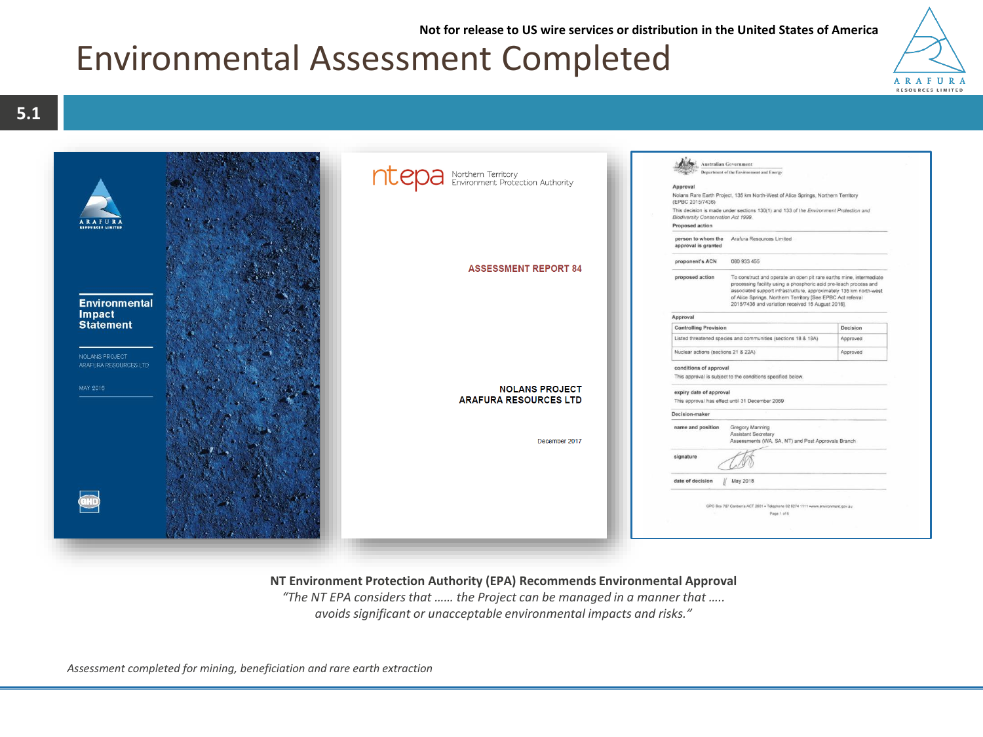| Term                                      | <b>Definition</b>                                                                                                                                                                                                                                                                                                                                                                    |
|-------------------------------------------|--------------------------------------------------------------------------------------------------------------------------------------------------------------------------------------------------------------------------------------------------------------------------------------------------------------------------------------------------------------------------------------|
| Entitlement                               | the entitlement to subscribe for 1 New Share for every 4<br>Existing Shares held on the Record Date by Eligible<br>Shareholders                                                                                                                                                                                                                                                      |
| <b>Entitlement and</b><br>Acceptance Form | the Entitlement and Acceptance Form accompanying this Retail<br>Offer Booklet upon which an Application can be made                                                                                                                                                                                                                                                                  |
| <b>Entitlement Offer</b>                  | the Institutional Entitlement Offer and the Retail Entitlement<br>Offer                                                                                                                                                                                                                                                                                                              |
| <b>Excess Amount</b>                      | is defined in Section 4.6                                                                                                                                                                                                                                                                                                                                                            |
| <b>Existing Share</b>                     | a Share on issue before the Record Date                                                                                                                                                                                                                                                                                                                                              |
| <b>GST</b>                                | Australian Goods and Services Tax (currently 10%)                                                                                                                                                                                                                                                                                                                                    |
| Ineligible Institutional<br>Shareholder   | an Institutional Shareholder who is not an Eligible Institutional<br>Shareholder                                                                                                                                                                                                                                                                                                     |
| Ineligible Retail<br>Shareholder          | a Shareholder who is neither an Institutional Shareholder nor an<br>Eligible Retail Shareholder                                                                                                                                                                                                                                                                                      |
| <b>Institutional Entitlement</b><br>Offer | the accelerated non-renounceable pro-rata entitlement offer to<br>Eligible Institutional Shareholders                                                                                                                                                                                                                                                                                |
| Institutional Investor                    | a person:                                                                                                                                                                                                                                                                                                                                                                            |
|                                           | in Australia, to whom an offer of securities in a company<br>$\bullet$<br>may be made in Australia without a disclosure document (as<br>defined in the Corporations Act) on the basis that such a<br>person is an 'exempt investor' as defined section 9A(5) of<br>the Corporations Act (as inserted by ASIC Corporations<br>(Non-Traditional Rights Issues) Instrument 2016/84); or |
|                                           | in selected jurisdictions outside Australia to whom an offer<br>of New Shares may be made without registration,<br>lodgement of a formal disclosure document or other formal<br>filing in accordance with the laws of that foreign jurisdiction<br>(except to the extent to which Arafura, at its absolute<br>discretion, is willing to comply with such requirements).              |
| <b>Institutional Shareholder</b>          | a Shareholder on the Record Date who is an Institutional<br>Investor                                                                                                                                                                                                                                                                                                                 |
| <b>Investor Presentation</b>              | the presentation released to ASX on 10 August 2018 in<br>connection with the Entitlement Offer, a copy of which is set out<br>in Section 5                                                                                                                                                                                                                                           |
| <b>New Shares</b>                         | a Share issued in connection with the Entitlement Offer                                                                                                                                                                                                                                                                                                                              |
| <b>Offer Price</b>                        | \$0.08 per New Share                                                                                                                                                                                                                                                                                                                                                                 |
| <b>Record Date</b>                        | the time and date for determining which Shareholders are<br>entitled to an Entitlement under the Entitlement Offer, being<br>7.00pm (AEST) on 15 August 2018                                                                                                                                                                                                                         |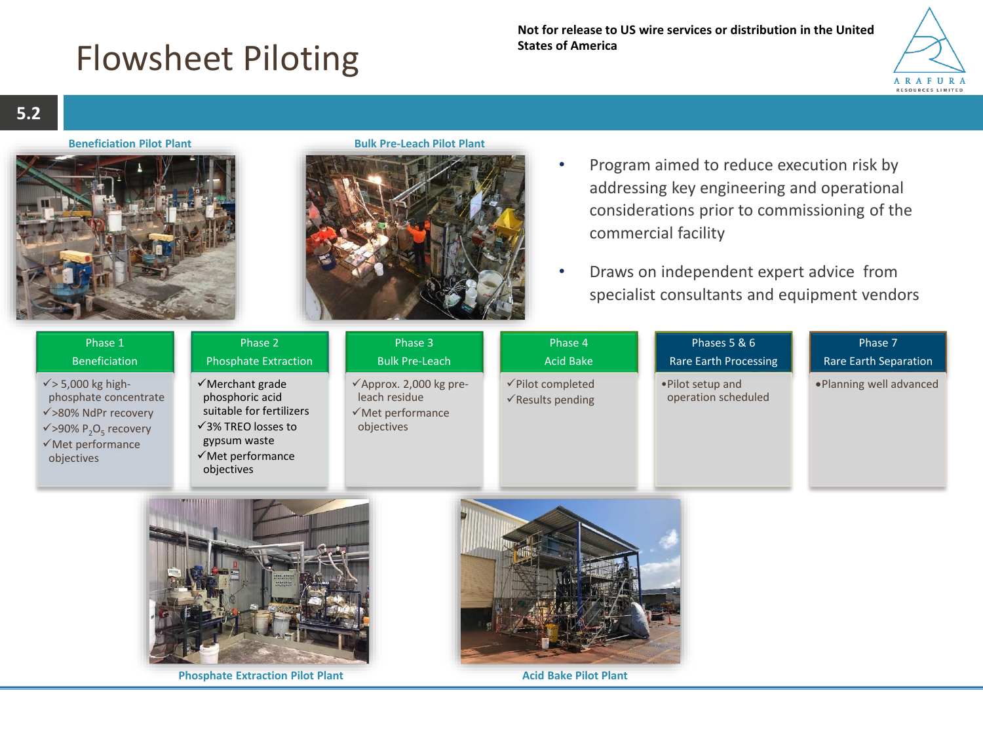| Term                                      | <b>Definition</b>                                                                                                                                                                                                                                                              |
|-------------------------------------------|--------------------------------------------------------------------------------------------------------------------------------------------------------------------------------------------------------------------------------------------------------------------------------|
| <b>Retail Closing Date</b>                | 5.00pm (AEST) on 29 August 2018. This is the final date that<br>Eligible Retail Shareholders can take up some or all of their<br>Entitlement                                                                                                                                   |
| <b>Retail Entitlement Offer</b>           | the non-renounceable pro-rata offer to Eligible Retail<br>Shareholders to subscribe for 1 New Share for every 4 Existing<br>Shares of which the Shareholder is the registered holder on the<br>Record Date, at the Offer Price pursuant to this Retail Offer<br><b>Booklet</b> |
| <b>Retail Entitlement Offer</b><br>Period | the period commencing on the opening date of the Retail<br>Entitlement Offer, as specified in the 'Key Dates for the<br>Entitlement Offer' in Section 1, and ending on the Retail Closing<br>Date                                                                              |
| <b>Retail Offer Booklet</b>               | this booklet dated 15 August 2018, including the ASX<br>Announcement and Investor Presentation set out in Section 5                                                                                                                                                            |
| Section                                   | a section of this Retail Offer Booklet                                                                                                                                                                                                                                         |
| Share                                     | a fully paid ordinary Arafura share                                                                                                                                                                                                                                            |
| <b>Share Registry</b>                     | Link Market Services Limited (ACN 083 214 537) or any other<br>person appointed as registry by Arafura from time to time                                                                                                                                                       |
| Shareholder                               | the registered holder of an Existing Share                                                                                                                                                                                                                                     |
| Top Up Facility                           | the facility described in Section 4.6 under which Eligible Retail<br>Shareholders may apply for additional New Shares in excess of<br>their Entitlement                                                                                                                        |
| <b>U.S. or United States</b>              | United States of America, its territories and possessions, any<br>state of the United States and the District of Columbia                                                                                                                                                      |
| U.S. Securities Act                       | U.S. Securities Act of 1933, as amended                                                                                                                                                                                                                                        |